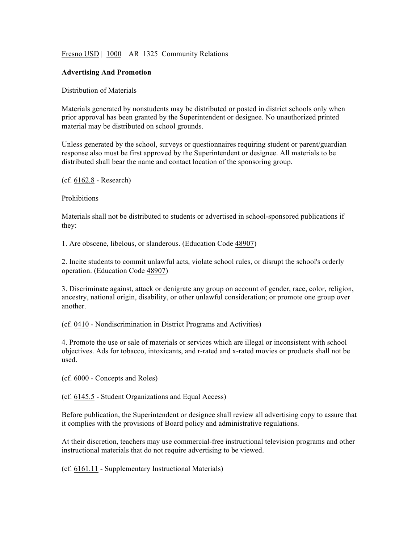## Fresno USD | 1000 | AR 1325 Community Relations

## **Advertising And Promotion**

## Distribution of Materials

Materials generated by nonstudents may be distributed or posted in district schools only when prior approval has been granted by the Superintendent or designee. No unauthorized printed material may be distributed on school grounds.

Unless generated by the school, surveys or questionnaires requiring student or parent/guardian response also must be first approved by the Superintendent or designee. All materials to be distributed shall bear the name and contact location of the sponsoring group.

(cf. 6162.8 - Research)

**Prohibitions** 

Materials shall not be distributed to students or advertised in school-sponsored publications if they:

1. Are obscene, libelous, or slanderous. (Education Code 48907)

2. Incite students to commit unlawful acts, violate school rules, or disrupt the school's orderly operation. (Education Code 48907)

3. Discriminate against, attack or denigrate any group on account of gender, race, color, religion, ancestry, national origin, disability, or other unlawful consideration; or promote one group over another.

(cf. 0410 - Nondiscrimination in District Programs and Activities)

4. Promote the use or sale of materials or services which are illegal or inconsistent with school objectives. Ads for tobacco, intoxicants, and r-rated and x-rated movies or products shall not be used.

(cf. 6000 - Concepts and Roles)

(cf. 6145.5 - Student Organizations and Equal Access)

Before publication, the Superintendent or designee shall review all advertising copy to assure that it complies with the provisions of Board policy and administrative regulations.

At their discretion, teachers may use commercial-free instructional television programs and other instructional materials that do not require advertising to be viewed.

(cf. 6161.11 - Supplementary Instructional Materials)